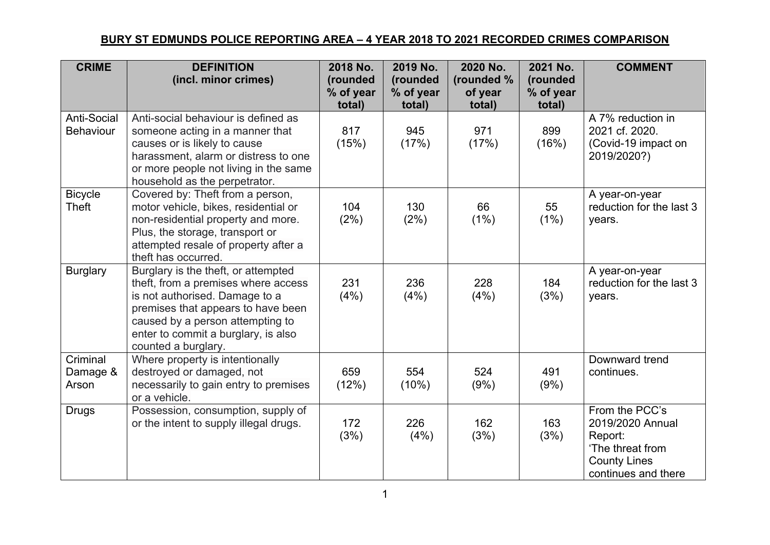## **BURY ST EDMUNDS POLICE REPORTING AREA – 4 YEAR 2018 TO 2021 RECORDED CRIMES COMPARISON**

| <b>CRIME</b>                           | <b>DEFINITION</b><br>(incl. minor crimes)                                                                                                                                                                                                            | 2018 No.<br>(rounded<br>% of year<br>total) | 2019 No.<br>(rounded<br>% of year<br>total) | 2020 No.<br>(rounded %<br>of year<br>total) | 2021 No.<br>(rounded<br>% of year<br>total) | <b>COMMENT</b>                                                                                                  |
|----------------------------------------|------------------------------------------------------------------------------------------------------------------------------------------------------------------------------------------------------------------------------------------------------|---------------------------------------------|---------------------------------------------|---------------------------------------------|---------------------------------------------|-----------------------------------------------------------------------------------------------------------------|
| <b>Anti-Social</b><br><b>Behaviour</b> | Anti-social behaviour is defined as<br>someone acting in a manner that<br>causes or is likely to cause<br>harassment, alarm or distress to one<br>or more people not living in the same<br>household as the perpetrator.                             | 817<br>(15%)                                | 945<br>(17%)                                | 971<br>(17%)                                | 899<br>(16%)                                | A 7% reduction in<br>2021 cf. 2020.<br>(Covid-19 impact on<br>2019/2020?)                                       |
| <b>Bicycle</b><br><b>Theft</b>         | Covered by: Theft from a person,<br>motor vehicle, bikes, residential or<br>non-residential property and more.<br>Plus, the storage, transport or<br>attempted resale of property after a<br>theft has occurred.                                     | 104<br>(2%)                                 | 130<br>(2%)                                 | 66<br>(1%)                                  | 55<br>(1%)                                  | A year-on-year<br>reduction for the last 3<br>years.                                                            |
| <b>Burglary</b>                        | Burglary is the theft, or attempted<br>theft, from a premises where access<br>is not authorised. Damage to a<br>premises that appears to have been<br>caused by a person attempting to<br>enter to commit a burglary, is also<br>counted a burglary. | 231<br>(4%)                                 | 236<br>(4%)                                 | 228<br>(4%)                                 | 184<br>(3%)                                 | A year-on-year<br>reduction for the last 3<br>years.                                                            |
| Criminal<br>Damage &<br>Arson          | Where property is intentionally<br>destroyed or damaged, not<br>necessarily to gain entry to premises<br>or a vehicle.                                                                                                                               | 659<br>(12%)                                | 554<br>(10%)                                | 524<br>(9%)                                 | 491<br>(9%)                                 | Downward trend<br>continues.                                                                                    |
| <b>Drugs</b>                           | Possession, consumption, supply of<br>or the intent to supply illegal drugs.                                                                                                                                                                         | 172<br>(3%)                                 | 226<br>(4%)                                 | 162<br>(3%)                                 | 163<br>(3%)                                 | From the PCC's<br>2019/2020 Annual<br>Report:<br>'The threat from<br><b>County Lines</b><br>continues and there |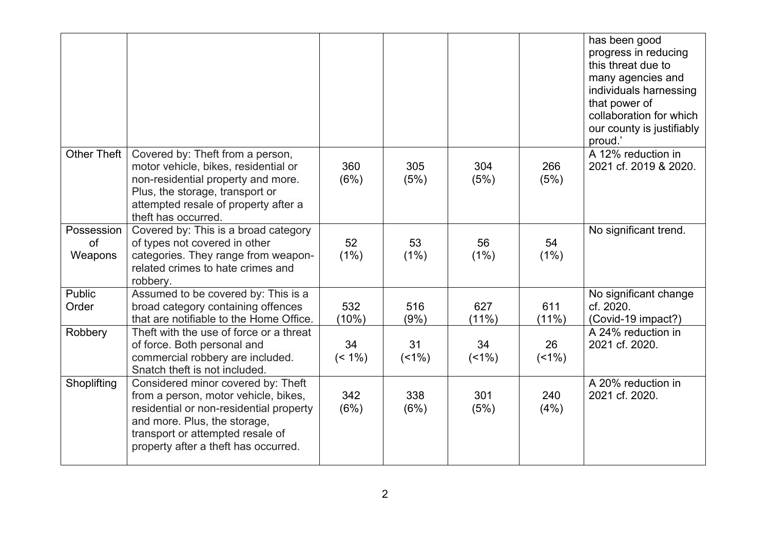|                             |                                                                                                                                                                                                                                   |                 |               |                 |               | has been good<br>progress in reducing<br>this threat due to<br>many agencies and<br>individuals harnessing<br>that power of<br>collaboration for which<br>our county is justifiably<br>proud.' |
|-----------------------------|-----------------------------------------------------------------------------------------------------------------------------------------------------------------------------------------------------------------------------------|-----------------|---------------|-----------------|---------------|------------------------------------------------------------------------------------------------------------------------------------------------------------------------------------------------|
| Other Theft                 | Covered by: Theft from a person,<br>motor vehicle, bikes, residential or<br>non-residential property and more.<br>Plus, the storage, transport or<br>attempted resale of property after a<br>theft has occurred.                  | 360<br>(6%)     | 305<br>(5%)   | 304<br>(5%)     | 266<br>(5%)   | A 12% reduction in<br>2021 cf. 2019 & 2020.                                                                                                                                                    |
| Possession<br>of<br>Weapons | Covered by: This is a broad category<br>of types not covered in other<br>categories. They range from weapon-<br>related crimes to hate crimes and<br>robbery.                                                                     | 52<br>(1%)      | 53<br>(1%)    | 56<br>(1%)      | 54<br>(1%)    | No significant trend.                                                                                                                                                                          |
| <b>Public</b><br>Order      | Assumed to be covered by: This is a<br>broad category containing offences<br>that are notifiable to the Home Office.                                                                                                              | 532<br>(10%)    | 516<br>(9%)   | 627<br>$(11\%)$ | 611<br>(11%)  | No significant change<br>cf. 2020.<br>(Covid-19 impact?)                                                                                                                                       |
| Robbery                     | Theft with the use of force or a threat<br>of force. Both personal and<br>commercial robbery are included.<br>Snatch theft is not included.                                                                                       | 34<br>$(< 1\%)$ | 31<br>$(1\%)$ | 34<br>$(1\%)$   | 26<br>$(1\%)$ | A 24% reduction in<br>2021 cf. 2020.                                                                                                                                                           |
| Shoplifting                 | Considered minor covered by: Theft<br>from a person, motor vehicle, bikes,<br>residential or non-residential property<br>and more. Plus, the storage,<br>transport or attempted resale of<br>property after a theft has occurred. | 342<br>(6%)     | 338<br>(6%)   | 301<br>(5%)     | 240<br>(4%)   | A 20% reduction in<br>2021 cf. 2020.                                                                                                                                                           |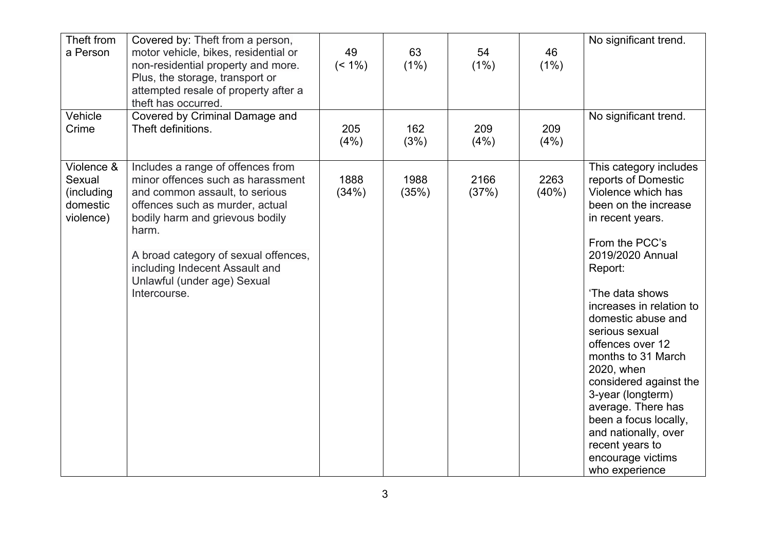| Theft from<br>a Person<br>Vehicle                           | Covered by: Theft from a person,<br>motor vehicle, bikes, residential or<br>non-residential property and more.<br>Plus, the storage, transport or<br>attempted resale of property after a<br>theft has occurred.<br>Covered by Criminal Damage and                                                               | 49<br>$($ < 1%) | 63<br>(1%)    | 54<br>(1%)    | 46<br>(1%)    | No significant trend.<br>No significant trend.                                                                                                                                                                                                                                                                                                                                                                                                                                                  |
|-------------------------------------------------------------|------------------------------------------------------------------------------------------------------------------------------------------------------------------------------------------------------------------------------------------------------------------------------------------------------------------|-----------------|---------------|---------------|---------------|-------------------------------------------------------------------------------------------------------------------------------------------------------------------------------------------------------------------------------------------------------------------------------------------------------------------------------------------------------------------------------------------------------------------------------------------------------------------------------------------------|
| Crime                                                       | Theft definitions.                                                                                                                                                                                                                                                                                               | 205<br>(4%)     | 162<br>(3%)   | 209<br>(4%)   | 209<br>(4%)   |                                                                                                                                                                                                                                                                                                                                                                                                                                                                                                 |
| Violence &<br>Sexual<br>(including<br>domestic<br>violence) | Includes a range of offences from<br>minor offences such as harassment<br>and common assault, to serious<br>offences such as murder, actual<br>bodily harm and grievous bodily<br>harm.<br>A broad category of sexual offences,<br>including Indecent Assault and<br>Unlawful (under age) Sexual<br>Intercourse. | 1888<br>(34%)   | 1988<br>(35%) | 2166<br>(37%) | 2263<br>(40%) | This category includes<br>reports of Domestic<br>Violence which has<br>been on the increase<br>in recent years.<br>From the PCC's<br>2019/2020 Annual<br>Report:<br>'The data shows<br>increases in relation to<br>domestic abuse and<br>serious sexual<br>offences over 12<br>months to 31 March<br>2020, when<br>considered against the<br>3-year (longterm)<br>average. There has<br>been a focus locally,<br>and nationally, over<br>recent years to<br>encourage victims<br>who experience |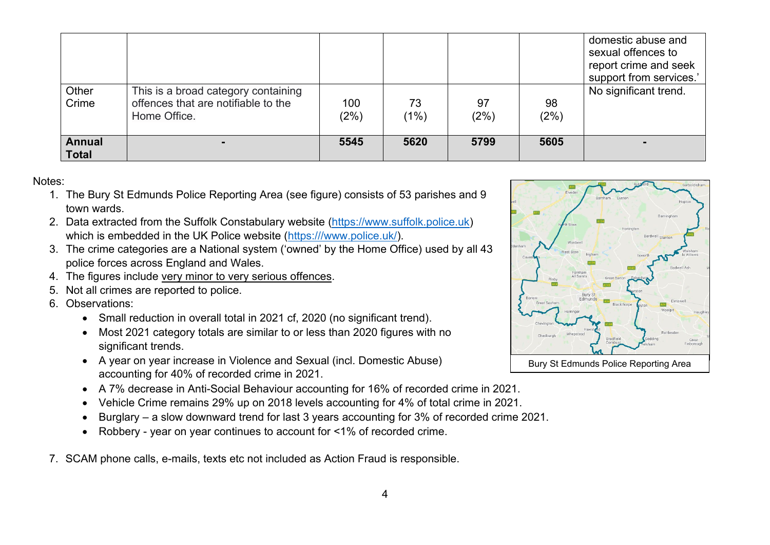|                               |                                                                                            |             |            |            |            | domestic abuse and<br>sexual offences to<br>report crime and seek<br>support from services.' |
|-------------------------------|--------------------------------------------------------------------------------------------|-------------|------------|------------|------------|----------------------------------------------------------------------------------------------|
| Other<br>Crime                | This is a broad category containing<br>offences that are notifiable to the<br>Home Office. | 100<br>(2%) | 73<br>(1%) | 97<br>(2%) | 98<br>(2%) | No significant trend.                                                                        |
| <b>Annual</b><br>$\mid$ Total | $\sim$                                                                                     | 5545        | 5620       | 5799       | 5605       |                                                                                              |

## Notes:

- 1. The Bury St Edmunds Police Reporting Area (see figure) consists of 53 parishes and 9 town wards.
- 2. Data extracted from the Suffolk Constabulary website (https://www.suffolk.police.uk) which is embedded in the UK Police website (https:///www.police.uk/).
- 3. The crime categories are a National system ('owned' by the Home Office) used by all 43 police forces across England and Wales.
- 4. The figures include very minor to very serious offences.
- 5. Not all crimes are reported to police.
- 6. Observations:
	- Small reduction in overall total in 2021 cf, 2020 (no significant trend).
	- Most 2021 category totals are similar to or less than 2020 figures with no significant trends.
	- A year on year increase in Violence and Sexual (incl. Domestic Abuse) accounting for 40% of recorded crime in 2021.
	- A 7% decrease in Anti-Social Behaviour accounting for 16% of recorded crime in 2021.
	- Vehicle Crime remains 29% up on 2018 levels accounting for 4% of total crime in 2021.
	- Burglary a slow downward trend for last 3 years accounting for 3% of recorded crime 2021.
	- Robbery year on year continues to account for <1% of recorded crime.
- 7. SCAM phone calls, e-mails, texts etc not included as Action Fraud is responsible.